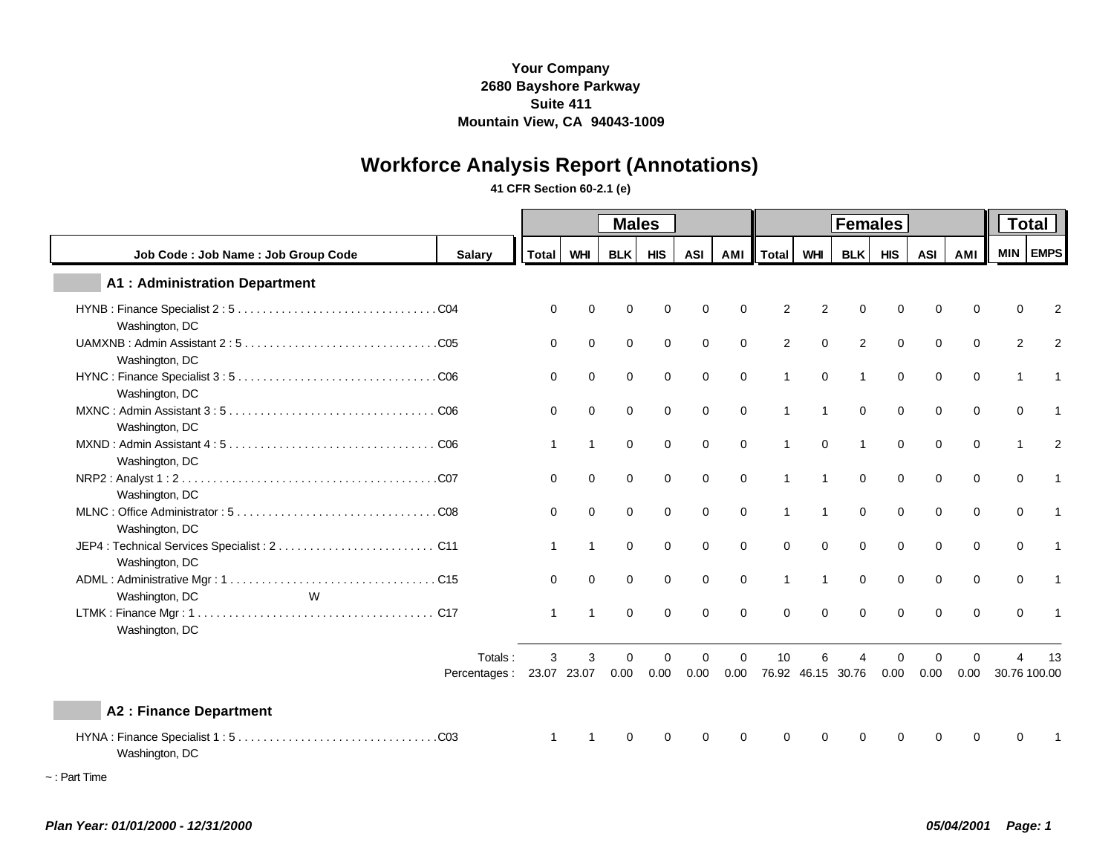# **Workforce Analysis Report (Annotations)**

#### **41 CFR Section 60-2.1 (e)**

|                                      |                          | <b>Males</b> |                  |                  |                  |                  |                  |                         |                | <b>Females</b> |                  |             |                  |                |                |
|--------------------------------------|--------------------------|--------------|------------------|------------------|------------------|------------------|------------------|-------------------------|----------------|----------------|------------------|-------------|------------------|----------------|----------------|
| Job Code: Job Name: Job Group Code   | <b>Salarv</b>            | <b>Total</b> | <b>WHI</b>       | <b>BLK</b>       | <b>HIS</b>       | <b>ASI</b>       | AMI <sup>I</sup> | ∣ Total I               | <b>WHI</b>     | <b>BLK</b>     | <b>HIS</b>       | <b>ASI</b>  | AMI              | MIN EMPS       |                |
| <b>A1: Administration Department</b> |                          |              |                  |                  |                  |                  |                  |                         |                |                |                  |             |                  |                |                |
| Washington, DC                       |                          | $\Omega$     | $\Omega$         | $\Omega$         | $\mathbf 0$      | $\Omega$         | 0                | 2                       | $\overline{2}$ | $\Omega$       | $\Omega$         | $\Omega$    | $\Omega$         | $\Omega$       | 2              |
| Washington, DC                       |                          | 0            | $\mathbf 0$      | $\mathbf 0$      | $\mathbf 0$      | $\mathbf 0$      | $\mathbf 0$      | 2                       | 0              | 2              | $\mathbf 0$      | $\mathbf 0$ | $\mathbf 0$      | 2              | $\overline{2}$ |
| Washington, DC                       |                          | $\Omega$     | $\Omega$         | $\Omega$         | $\Omega$         | $\Omega$         | $\Omega$         | $\mathbf{1}$            | $\Omega$       | $\mathbf{1}$   | $\Omega$         | $\Omega$    | $\Omega$         | $\overline{1}$ |                |
| Washington, DC                       |                          | $\Omega$     | $\Omega$         | $\Omega$         | $\Omega$         | $\Omega$         | $\Omega$         | $\overline{\mathbf{1}}$ | $\mathbf{1}$   | $\Omega$       | $\Omega$         | $\Omega$    | $\Omega$         | $\Omega$       |                |
| Washington, DC                       |                          |              |                  | $\Omega$         | $\mathbf 0$      | $\mathbf 0$      | $\Omega$         | $\overline{1}$          | $\Omega$       | $\overline{1}$ | $\Omega$         | $\Omega$    | $\Omega$         |                | $\overline{c}$ |
| Washington, DC                       |                          | $\Omega$     | $\Omega$         | $\mathbf 0$      | $\mathbf 0$      | $\mathbf 0$      | $\mathbf 0$      | $\overline{1}$          | $\mathbf{1}$   | $\Omega$       | $\mathbf 0$      | $\mathbf 0$ | $\mathbf 0$      | $\mathbf 0$    |                |
| Washington, DC                       |                          | $\Omega$     | $\Omega$         | $\Omega$         | $\mathbf 0$      | $\mathbf 0$      | 0                | $\mathbf{1}$            | 1              | $\Omega$       | $\Omega$         | $\Omega$    | $\mathbf 0$      | $\mathbf 0$    |                |
| Washington, DC                       |                          |              | 1                | $\Omega$         | $\mathbf 0$      | $\mathbf 0$      | $\Omega$         | $\Omega$                | $\Omega$       | $\Omega$       | $\Omega$         | $\Omega$    | $\Omega$         | $\Omega$       |                |
| W<br>Washington, DC                  |                          | $\Omega$     | $\Omega$         | $\mathbf 0$      | $\mathbf 0$      | $\mathbf 0$      | 0                | $\overline{1}$          | 1              | $\Omega$       | $\Omega$         | $\mathbf 0$ | $\mathbf 0$      | $\mathbf 0$    |                |
| Washington, DC                       |                          | 1            | 1                | $\Omega$         | $\Omega$         | $\mathbf 0$      | 0                | $\mathbf 0$             | $\Omega$       | $\Omega$       | $\Omega$         | $\Omega$    | $\mathbf 0$      | $\Omega$       |                |
|                                      | Totals:<br>Percentages : | 3            | 3<br>23.07 23.07 | $\Omega$<br>0.00 | $\Omega$<br>0.00 | $\Omega$<br>0.00 | $\Omega$<br>0.00 | 10<br>76.92             | 6              | 46.15 30.76    | $\Omega$<br>0.00 | O<br>0.00   | $\Omega$<br>0.00 | 30.76 100.00   | 13             |
| <b>A2: Finance Department</b>        |                          |              |                  |                  |                  |                  |                  |                         |                |                |                  |             |                  |                |                |
| Washington, DC                       |                          |              |                  | $\Omega$         | $\Omega$         |                  |                  |                         |                |                | ∩                | ∩           | ∩                | ∩              |                |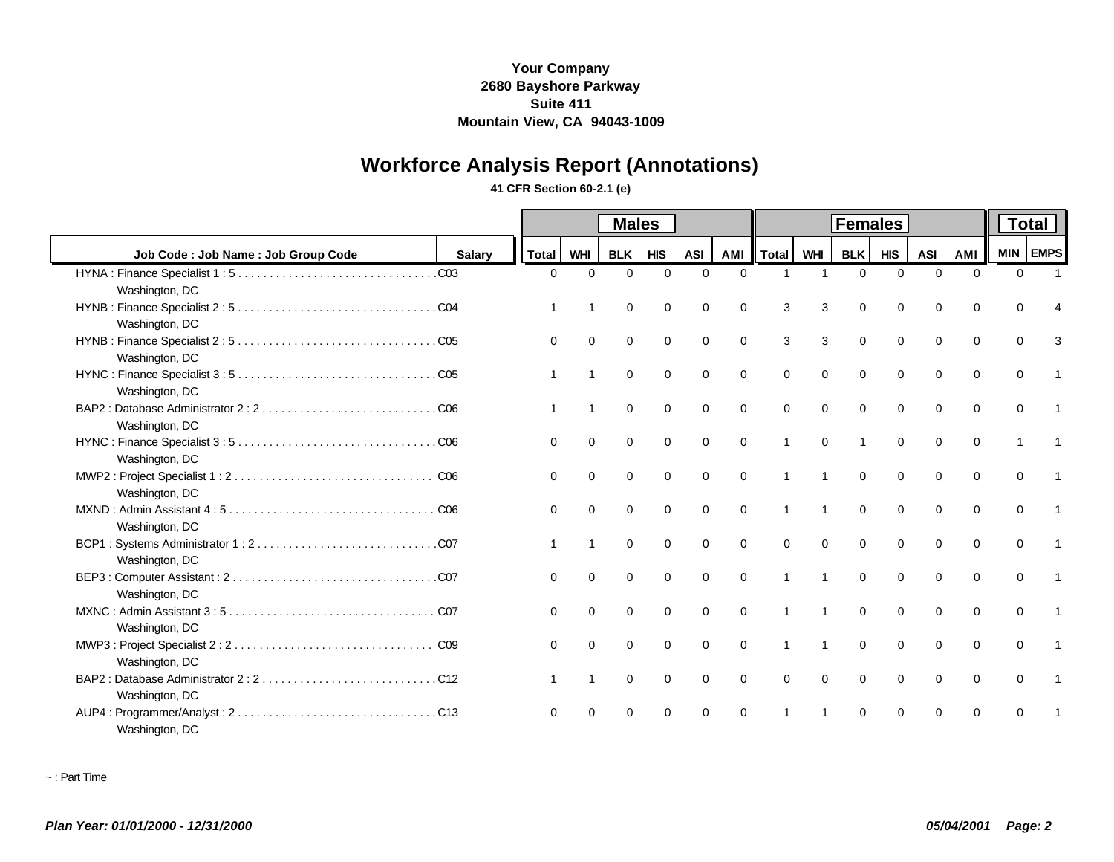# **Workforce Analysis Report (Annotations)**

### **41 CFR Section 60-2.1 (e)**

|                                    |               |              |                | <b>Males</b> |             |             |             | <b>Females</b> |            |                |             |             |             |          | <b>Total</b> |  |  |
|------------------------------------|---------------|--------------|----------------|--------------|-------------|-------------|-------------|----------------|------------|----------------|-------------|-------------|-------------|----------|--------------|--|--|
| Job Code: Job Name: Job Group Code | <b>Salary</b> | <b>Total</b> | <b>WHI</b>     | <b>BLK</b>   | HIS         | <b>ASI</b>  | AMI         | <b>Total</b>   | <b>WHI</b> | <b>BLK</b>     | <b>HIS</b>  | <b>ASI</b>  | <b>AMI</b>  | MIN EMPS |              |  |  |
| Washington, DC                     |               | $\Omega$     | $\Omega$       | $\Omega$     | $\Omega$    | $\Omega$    | $\Omega$    |                |            | $\Omega$       | $\Omega$    | $\Omega$    | $\Omega$    | $\Omega$ |              |  |  |
| Washington, DC                     |               |              |                | 0            | 0           | $\mathbf 0$ | $\mathbf 0$ | 3              | 3          | $\mathbf 0$    | $\mathbf 0$ | 0           | 0           | $\Omega$ |              |  |  |
| Washington, DC                     |               | $\Omega$     | $\Omega$       | $\mathbf 0$  | $\mathbf 0$ | $\Omega$    | $\Omega$    | 3              | 3          | $\mathbf 0$    | $\Omega$    | $\Omega$    | $\Omega$    | $\Omega$ | 3            |  |  |
| Washington, DC                     |               |              |                | $\mathbf 0$  | $\mathbf 0$ | $\mathbf 0$ | $\mathbf 0$ | $\Omega$       | $\Omega$   | $\mathbf 0$    | $\Omega$    | $\Omega$    | $\mathbf 0$ | $\Omega$ |              |  |  |
| Washington, DC                     |               |              | $\overline{1}$ | $\mathbf 0$  | $\mathbf 0$ | $\mathbf 0$ | $\mathbf 0$ | $\Omega$       | $\Omega$   | $\mathbf 0$    | $\mathbf 0$ | $\mathbf 0$ | $\mathbf 0$ | $\Omega$ |              |  |  |
| Washington, DC                     |               | $\Omega$     | $\mathbf 0$    | $\mathbf 0$  | $\mathbf 0$ | $\mathbf 0$ | $\mathbf 0$ | $\mathbf 1$    | $\Omega$   | $\overline{1}$ | $\mathbf 0$ | 0           | $\mathbf 0$ | 1        |              |  |  |
| Washington, DC                     |               | $\Omega$     | $\Omega$       | $\Omega$     | $\Omega$    | $\Omega$    | $\Omega$    |                |            | $\Omega$       | $\Omega$    | $\Omega$    | $\Omega$    | $\Omega$ |              |  |  |
| Washington, DC                     |               | $\Omega$     | $\mathbf 0$    | $\mathbf 0$  | $\mathbf 0$ | $\mathbf 0$ | $\mathbf 0$ | $\mathbf 1$    |            | $\Omega$       | $\Omega$    | $\mathbf 0$ | $\mathbf 0$ | $\Omega$ |              |  |  |
| Washington, DC                     |               |              |                | $\Omega$     | $\mathbf 0$ | $\Omega$    | $\Omega$    | $\Omega$       | $\Omega$   | $\Omega$       | $\Omega$    | $\Omega$    | $\Omega$    | $\Omega$ |              |  |  |
| Washington, DC                     |               | 0            | $\mathbf 0$    | $\mathbf 0$  | $\mathbf 0$ | $\mathbf 0$ | $\mathbf 0$ | $\mathbf 1$    |            | $\mathbf 0$    | $\mathbf 0$ | $\mathbf 0$ | $\mathbf 0$ | 0        |              |  |  |
| Washington, DC                     |               | $\Omega$     | $\Omega$       | $\Omega$     | $\Omega$    | $\Omega$    | $\Omega$    |                |            | $\Omega$       | $\Omega$    | $\Omega$    | $\mathbf 0$ | $\Omega$ |              |  |  |
| Washington, DC                     |               | $\Omega$     | $\Omega$       | $\Omega$     | $\mathbf 0$ | $\mathbf 0$ | $\Omega$    | $\overline{1}$ |            | $\Omega$       | $\Omega$    | $\Omega$    | $\Omega$    | $\Omega$ |              |  |  |
| Washington, DC                     |               |              | -1             | $\mathbf 0$  | $\mathbf 0$ | $\mathbf 0$ | $\Omega$    | $\Omega$       | $\Omega$   | $\Omega$       | $\Omega$    | $\mathbf 0$ | $\mathbf 0$ | $\Omega$ |              |  |  |
| Washington, DC                     |               | $\Omega$     | $\Omega$       | $\Omega$     | $\Omega$    | $\Omega$    | $\Omega$    |                |            | $\Omega$       | $\Omega$    | $\Omega$    | $\Omega$    | $\Omega$ |              |  |  |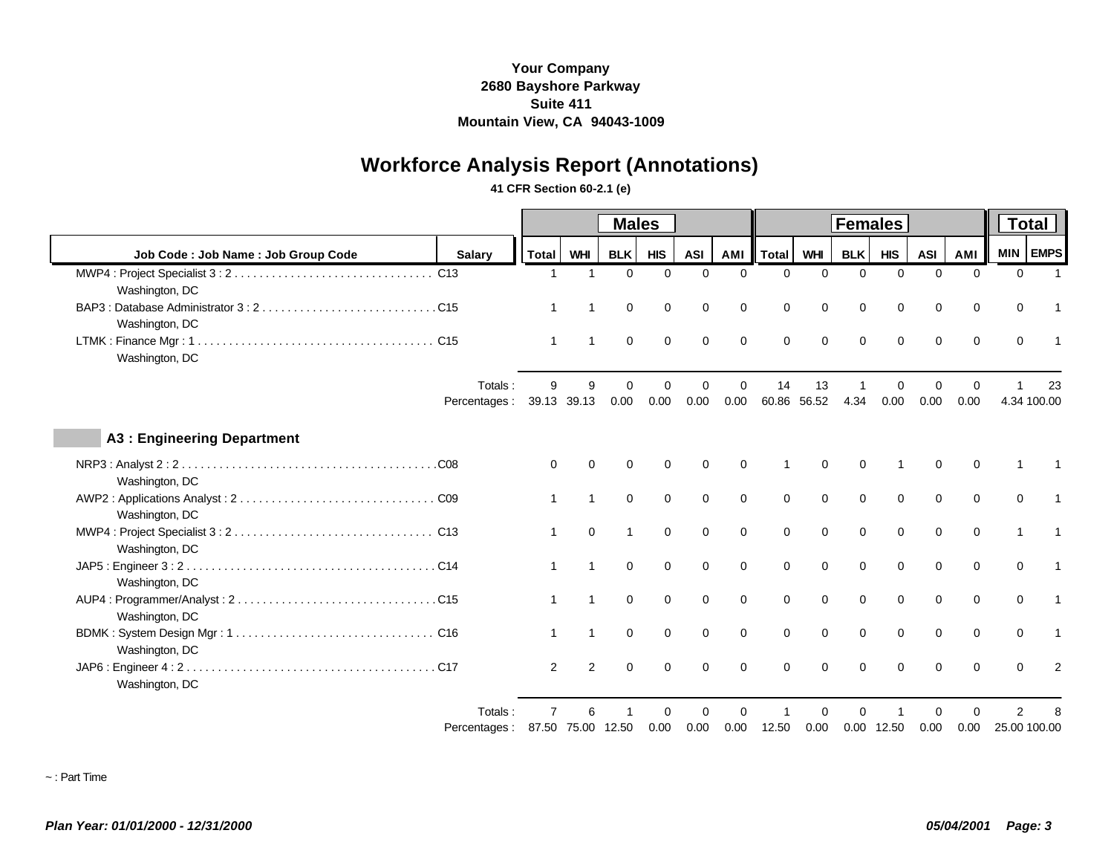# **Workforce Analysis Report (Annotations)**

### **41 CFR Section 60-2.1 (e)**

|                                        |                        |                |                | <b>Males</b>   |             |             |             | <b>Females</b> |             |             |             |             |             |                                | <b>Total</b>   |  |  |
|----------------------------------------|------------------------|----------------|----------------|----------------|-------------|-------------|-------------|----------------|-------------|-------------|-------------|-------------|-------------|--------------------------------|----------------|--|--|
| Job Code: Job Name: Job Group Code     | <b>Salarv</b>          | <b>Total</b>   | <b>WHI</b>     | <b>BLK</b>     | <b>HIS</b>  | <b>ASI</b>  | AMI         | <b>Total</b>   | <b>WHI</b>  | <b>BLK</b>  | <b>HIS</b>  | <b>ASI</b>  | AMI         | <b>MIN</b>                     | EMPS           |  |  |
| Washington, DC                         |                        | $\mathbf 1$    | $\overline{1}$ | $\mathbf 0$    | $\Omega$    | $\Omega$    | $\Omega$    | $\Omega$       | $\Omega$    | $\Omega$    | $\Omega$    | $\Omega$    | $\Omega$    | $\mathbf 0$                    | $\overline{1}$ |  |  |
| Washington, DC                         |                        |                |                | $\mathbf 0$    | $\mathbf 0$ | $\mathbf 0$ | $\mathbf 0$ | $\mathbf 0$    | $\mathbf 0$ | $\mathbf 0$ | 0           | $\mathbf 0$ | $\mathbf 0$ | $\mathbf 0$                    |                |  |  |
| LTMK: Finance Mgr: 1<br>Washington, DC |                        |                |                | $\mathbf 0$    | $\Omega$    | $\Omega$    | $\Omega$    | $\Omega$       | $\Omega$    | $\Omega$    | $\Omega$    | $\Omega$    | $\Omega$    | $\Omega$                       |                |  |  |
|                                        | Totals:                | 9              | 9              | $\Omega$       | ∩           | $\Omega$    | $\Omega$    | 14             | 13          |             | $\Omega$    | ∩           | $\Omega$    |                                | 23             |  |  |
|                                        | Percentages:           | 39.13          | 39.13          | 0.00           | 0.00        | 0.00        | 0.00        | 60.86          | 56.52       | 4.34        | 0.00        | 0.00        | 0.00        | 4.34 100.00                    |                |  |  |
| <b>A3: Engineering Department</b>      |                        |                |                |                |             |             |             |                |             |             |             |             |             |                                |                |  |  |
| Washington, DC                         |                        | $\Omega$       | $\Omega$       | $\Omega$       | $\Omega$    | $\Omega$    | $\Omega$    |                | $\Omega$    | $\Omega$    |             | $\Omega$    | $\Omega$    |                                |                |  |  |
| Washington, DC                         |                        |                |                | $\mathbf 0$    | $\mathbf 0$ | $\mathbf 0$ | $\mathbf 0$ | $\mathbf 0$    | $\Omega$    | $\mathbf 0$ | $\mathbf 0$ | $\Omega$    | $\mathbf 0$ | $\Omega$                       |                |  |  |
| Washington, DC                         |                        |                | $\mathbf 0$    | $\overline{1}$ | $\mathbf 0$ | $\mathbf 0$ | $\mathbf 0$ | $\mathbf 0$    | $\Omega$    | $\mathbf 0$ | $\mathbf 0$ | $\Omega$    | $\mathbf 0$ |                                |                |  |  |
| Washington, DC                         |                        |                |                | $\mathbf 0$    | $\Omega$    | $\Omega$    | $\Omega$    | $\Omega$       | $\Omega$    | $\Omega$    | $\Omega$    | $\Omega$    | $\Omega$    | $\Omega$                       |                |  |  |
| Washington, DC                         |                        |                | -1             | $\mathbf 0$    | $\mathbf 0$ | $\mathbf 0$ | $\mathbf 0$ | 0              | $\Omega$    | $\mathbf 0$ | $\mathbf 0$ | $\Omega$    | $\mathbf 0$ | $\mathbf 0$                    |                |  |  |
| Washington, DC                         |                        |                | $\overline{1}$ | $\mathbf 0$    | $\mathbf 0$ | $\mathbf 0$ | $\mathbf 0$ | $\Omega$       | $\mathbf 0$ | $\mathbf 0$ | $\mathbf 0$ | $\Omega$    | $\mathbf 0$ | $\Omega$                       |                |  |  |
| Washington, DC                         |                        | $\overline{2}$ | 2              | $\Omega$       | $\Omega$    | $\Omega$    | $\Omega$    | $\Omega$       | $\Omega$    | $\Omega$    | $\Omega$    | $\Omega$    | $\Omega$    | $\Omega$                       | 2              |  |  |
|                                        | Totals<br>Percentages: | 87.50          | 75.00 12.50    |                | 0.00        | 0.00        | 0.00        | 12.50          | 0.00        | 0.00        | 12.50       | 0.00        | 0.00        | $\overline{2}$<br>25.00 100.00 | 8              |  |  |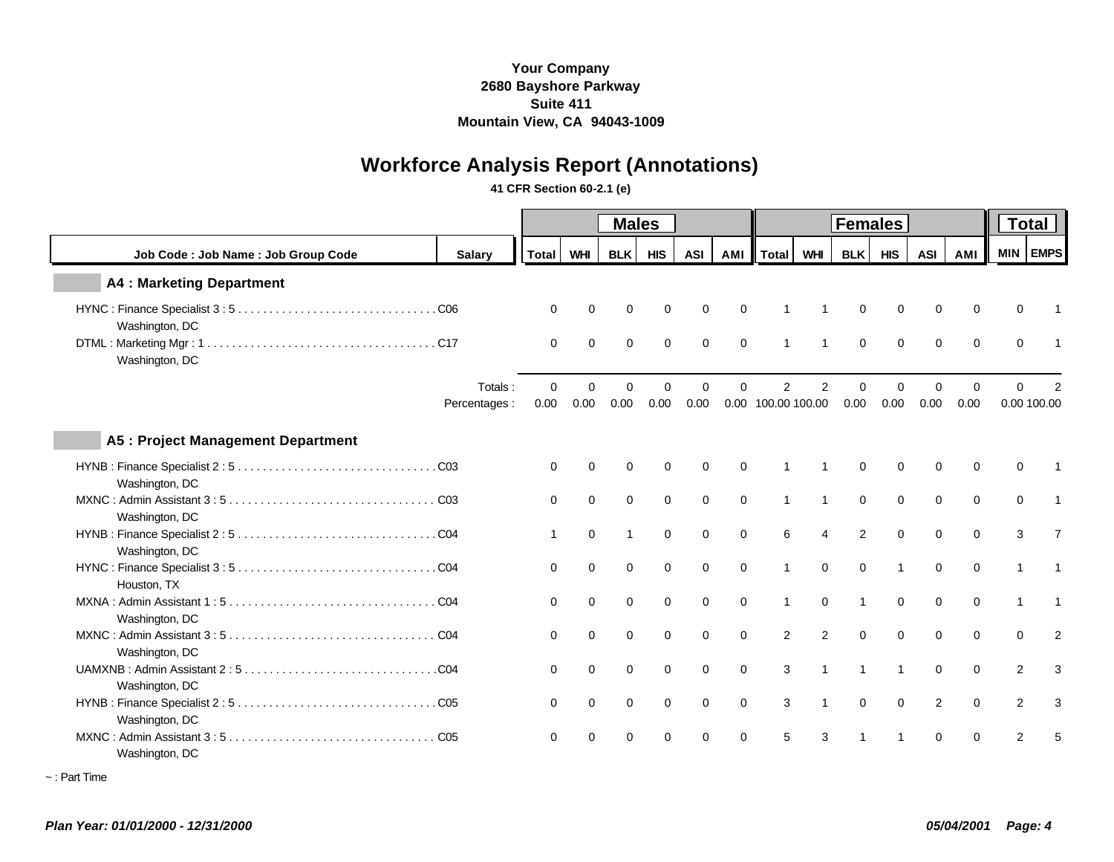# **Workforce Analysis Report (Annotations)**

### **41 CFR Section 60-2.1 (e)**

|                                          |               | <b>Males</b> |             |                |             |             |             |                | <b>Females</b> |                |                |             |             |                |                |
|------------------------------------------|---------------|--------------|-------------|----------------|-------------|-------------|-------------|----------------|----------------|----------------|----------------|-------------|-------------|----------------|----------------|
| Job Code: Job Name: Job Group Code       | <b>Salarv</b> | Total        | <b>WHI</b>  | <b>BLK</b>     | <b>HIS</b>  | <b>ASI</b>  | AMI         | <b>Total</b>   | WHI            | <b>BLK</b>     | <b>HIS</b>     | <b>ASI</b>  | AMI         |                | MIN EMPS       |
| <b>A4 : Marketing Department</b>         |               |              |             |                |             |             |             |                |                |                |                |             |             |                |                |
| Washington, DC                           |               | $\Omega$     | $\Omega$    | $\Omega$       | 0           | $\mathbf 0$ | $\Omega$    |                |                | $\Omega$       | $\Omega$       | 0           | $\mathbf 0$ | 0              |                |
| Washington, DC                           |               | $\mathbf 0$  | $\mathbf 0$ | $\mathbf 0$    | $\mathbf 0$ | $\mathbf 0$ | $\mathbf 0$ | $\mathbf{1}$   | $\mathbf{1}$   | $\mathbf 0$    | $\mathbf 0$    | $\mathbf 0$ | $\mathbf 0$ | $\mathbf 0$    |                |
|                                          | Totals:       | $\Omega$     | $\Omega$    | $\Omega$       | $\Omega$    | $\Omega$    | $\Omega$    | $\overline{2}$ | $\overline{2}$ | $\Omega$       | $\Omega$       | $\Omega$    | $\Omega$    | $\Omega$       |                |
|                                          | Percentages:  | 0.00         | 0.00        | 0.00           | 0.00        | 0.00        | 0.00        | 100.00 100.00  |                | 0.00           | 0.00           | 0.00        | 0.00        |                | 0.00 100.00    |
| <b>A5: Project Management Department</b> |               |              |             |                |             |             |             |                |                |                |                |             |             |                |                |
| Washington, DC                           |               | $\Omega$     | $\Omega$    | $\Omega$       | $\mathbf 0$ | $\mathbf 0$ | $\Omega$    |                |                | $\Omega$       | $\Omega$       | $\Omega$    | $\mathbf 0$ | $\Omega$       |                |
| Washington, DC                           |               | $\mathbf 0$  | $\mathbf 0$ | $\mathbf 0$    | $\mathbf 0$ | $\mathbf 0$ | $\mathbf 0$ | $\overline{1}$ | $\overline{1}$ | $\mathbf 0$    | $\mathbf 0$    | $\mathbf 0$ | $\mathbf 0$ | $\mathbf 0$    |                |
| Washington, DC                           |               | -1           | $\mathbf 0$ | $\overline{1}$ | $\mathbf 0$ | $\mathbf 0$ | $\mathbf 0$ | 6              | $\overline{4}$ | 2              | $\mathbf 0$    | $\mathbf 0$ | $\mathbf 0$ | 3              | $\overline{7}$ |
| Houston, TX                              |               | $\Omega$     | $\Omega$    | $\mathbf 0$    | $\mathbf 0$ | $\mathbf 0$ | $\Omega$    | $\mathbf{1}$   | $\Omega$       | $\Omega$       | $\overline{1}$ | $\Omega$    | $\mathbf 0$ | 1              |                |
| Washington, DC                           |               | $\Omega$     | $\Omega$    | $\Omega$       | $\Omega$    | $\mathbf 0$ | $\Omega$    | $\mathbf{1}$   | $\Omega$       | $\overline{1}$ | $\Omega$       | $\Omega$    | $\Omega$    |                |                |
| Washington, DC                           |               | $\Omega$     | 0           | $\mathbf 0$    | 0           | $\mathbf 0$ | $\mathbf 0$ | 2              | 2              | $\Omega$       | $\Omega$       | $\mathbf 0$ | $\mathbf 0$ | 0              |                |
| Washington, DC                           |               | $\Omega$     | $\mathbf 0$ | $\mathbf 0$    | $\mathbf 0$ | $\mathbf 0$ | $\mathbf 0$ | 3              | $\overline{1}$ | $\overline{1}$ | $\overline{1}$ | $\mathbf 0$ | $\mathbf 0$ | 2              |                |
| Washington, DC                           |               | $\Omega$     | $\Omega$    | $\mathbf 0$    | 0           | $\mathbf 0$ | $\mathbf 0$ | 3              | $\overline{1}$ | $\Omega$       | $\Omega$       | 2           | $\mathbf 0$ | $\overline{2}$ | 3              |
| Washington, DC                           |               | $\Omega$     | $\Omega$    | $\Omega$       | $\Omega$    | $\Omega$    | $\Omega$    | 5              | 3              |                | 1              | $\Omega$    | $\Omega$    | $\overline{2}$ |                |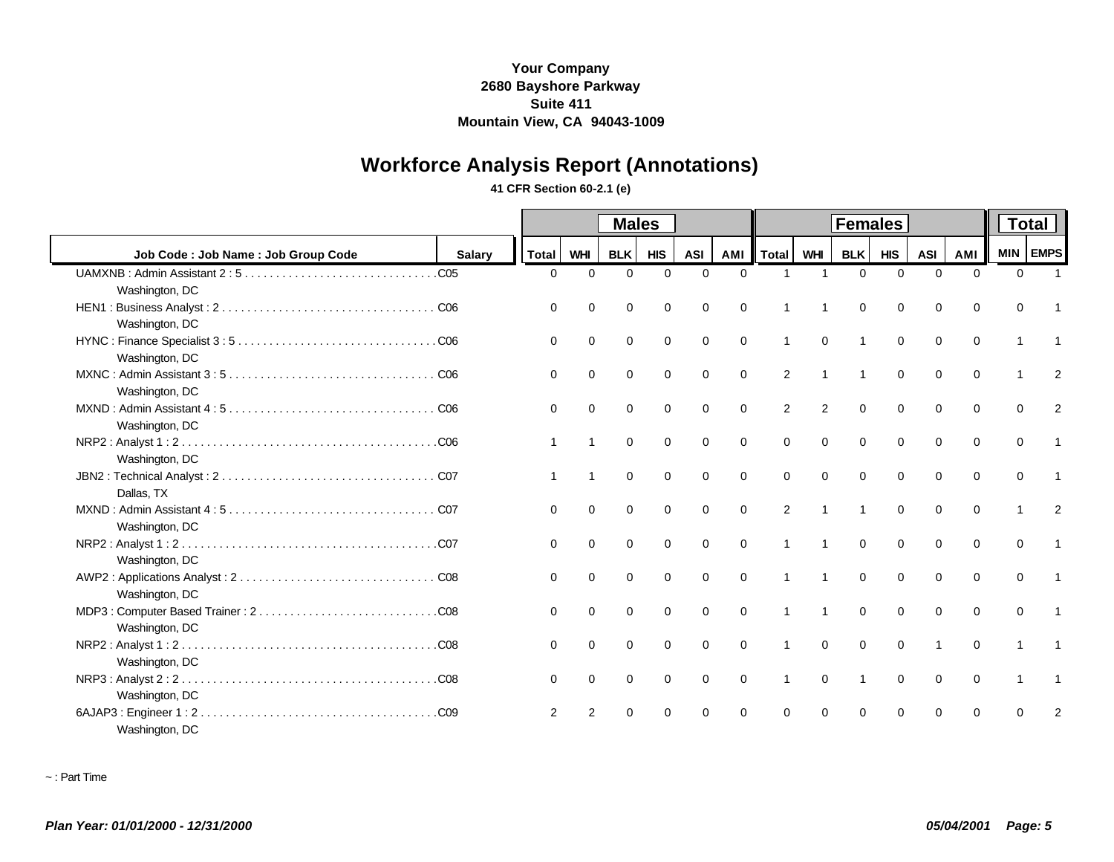# **Workforce Analysis Report (Annotations)**

### **41 CFR Section 60-2.1 (e)**

|                                                                                                                   |               |              |                | <b>Males</b> |             |             |             | <b>Females</b> |                |                |             |                |             |                | <b>Total</b>   |  |  |
|-------------------------------------------------------------------------------------------------------------------|---------------|--------------|----------------|--------------|-------------|-------------|-------------|----------------|----------------|----------------|-------------|----------------|-------------|----------------|----------------|--|--|
| Job Code: Job Name: Job Group Code                                                                                | <b>Salary</b> | <b>Total</b> | <b>WHI</b>     | <b>BLK</b>   | HIS         | <b>ASI</b>  | AMI         | <b>Total</b>   | WHI            | <b>BLK</b>     | <b>HIS</b>  | <b>ASI</b>     | <b>AMI</b>  | MIN EMPS       |                |  |  |
|                                                                                                                   |               | $\Omega$     | $\Omega$       | $\Omega$     | $\Omega$    | $\Omega$    | $\Omega$    |                |                | $\Omega$       | $\Omega$    | $\Omega$       | $\Omega$    | $\Omega$       |                |  |  |
| Washington, DC<br>Washington, DC                                                                                  |               | 0            | $\mathbf 0$    | 0            | 0           | 0           | $\mathbf 0$ |                |                | $\mathbf 0$    | $\mathbf 0$ | 0              | 0           | 0              |                |  |  |
| Washington, DC                                                                                                    |               | $\Omega$     | $\mathbf 0$    | $\mathbf 0$  | $\mathbf 0$ | $\Omega$    | $\Omega$    | $\overline{1}$ | $\Omega$       | $\overline{1}$ | $\Omega$    | $\Omega$       | $\Omega$    | 1              |                |  |  |
| Washington, DC                                                                                                    |               | $\Omega$     | $\mathbf 0$    | $\mathbf 0$  | $\mathbf 0$ | $\mathbf 0$ | $\mathbf 0$ | 2              |                |                | $\Omega$    | $\Omega$       | $\mathbf 0$ |                |                |  |  |
| Washington, DC                                                                                                    |               | $\Omega$     | $\mathbf 0$    | $\mathbf 0$  | $\mathbf 0$ | $\mathbf 0$ | $\mathbf 0$ | 2              | $\overline{2}$ | $\mathbf 0$    | $\mathbf 0$ | $\mathbf 0$    | $\mathbf 0$ | $\Omega$       | $\overline{2}$ |  |  |
| Washington, DC                                                                                                    |               |              |                | $\mathbf 0$  | $\mathbf 0$ | $\mathbf 0$ | $\mathbf 0$ | $\mathbf 0$    | $\mathbf 0$    | $\mathbf 0$    | $\mathbf 0$ | $\mathbf 0$    | $\mathbf 0$ | $\Omega$       |                |  |  |
| Dallas, TX                                                                                                        |               |              |                | $\mathbf 0$  | 0           | $\mathbf 0$ | $\mathbf 0$ | $\Omega$       | $\Omega$       | $\Omega$       | $\mathbf 0$ | $\Omega$       | $\Omega$    | $\Omega$       |                |  |  |
| $MXND:$ Admin Assistant $4:5$ , $\ldots$ , $\ldots$ , $\ldots$ , $\ldots$ , $\ldots$ , $\ldots$<br>Washington, DC |               | $\Omega$     | $\mathbf 0$    | $\mathbf 0$  | $\mathbf 0$ | $\mathbf 0$ | $\mathbf 0$ | 2              |                | $\overline{1}$ | $\Omega$    | $\mathbf 0$    | $\mathbf 0$ | $\overline{1}$ | $\overline{2}$ |  |  |
| Washington, DC                                                                                                    |               | $\Omega$     | $\Omega$       | $\mathbf 0$  | $\mathbf 0$ | $\mathbf 0$ | $\Omega$    |                |                | $\Omega$       | $\Omega$    | 0              | $\Omega$    | $\Omega$       |                |  |  |
| Washington, DC                                                                                                    |               | 0            | $\mathbf 0$    | $\mathbf 0$  | $\mathbf 0$ | $\mathbf 0$ | $\mathbf 0$ | $\mathbf 1$    |                | $\mathbf 0$    | $\mathbf 0$ | $\mathbf 0$    | $\mathbf 0$ | 0              |                |  |  |
| Washington, DC                                                                                                    |               | $\Omega$     | $\Omega$       | $\Omega$     | $\Omega$    | $\Omega$    | $\Omega$    |                |                | $\Omega$       | $\Omega$    | $\Omega$       | $\mathbf 0$ | $\Omega$       |                |  |  |
| Washington, DC                                                                                                    |               | $\Omega$     | $\mathbf 0$    | $\mathbf 0$  | $\mathbf 0$ | $\mathbf 0$ | $\Omega$    | 1              | $\Omega$       | $\mathbf 0$    | $\Omega$    | $\overline{1}$ | $\Omega$    | 1              |                |  |  |
| Washington, DC                                                                                                    |               | $\Omega$     | $\mathbf 0$    | $\mathbf 0$  | $\mathbf 0$ | $\mathbf 0$ | $\Omega$    | 1              | $\Omega$       | $\overline{1}$ | $\mathbf 0$ | $\mathbf 0$    | $\mathbf 0$ | 1              |                |  |  |
| 6AJAP3: Engineer 1: 2.<br>Washington, DC                                                                          |               | 2            | $\overline{2}$ | $\Omega$     | $\Omega$    | $\Omega$    | $\Omega$    | $\Omega$       | $\Omega$       | $\Omega$       | $\Omega$    | $\Omega$       | $\Omega$    | O              |                |  |  |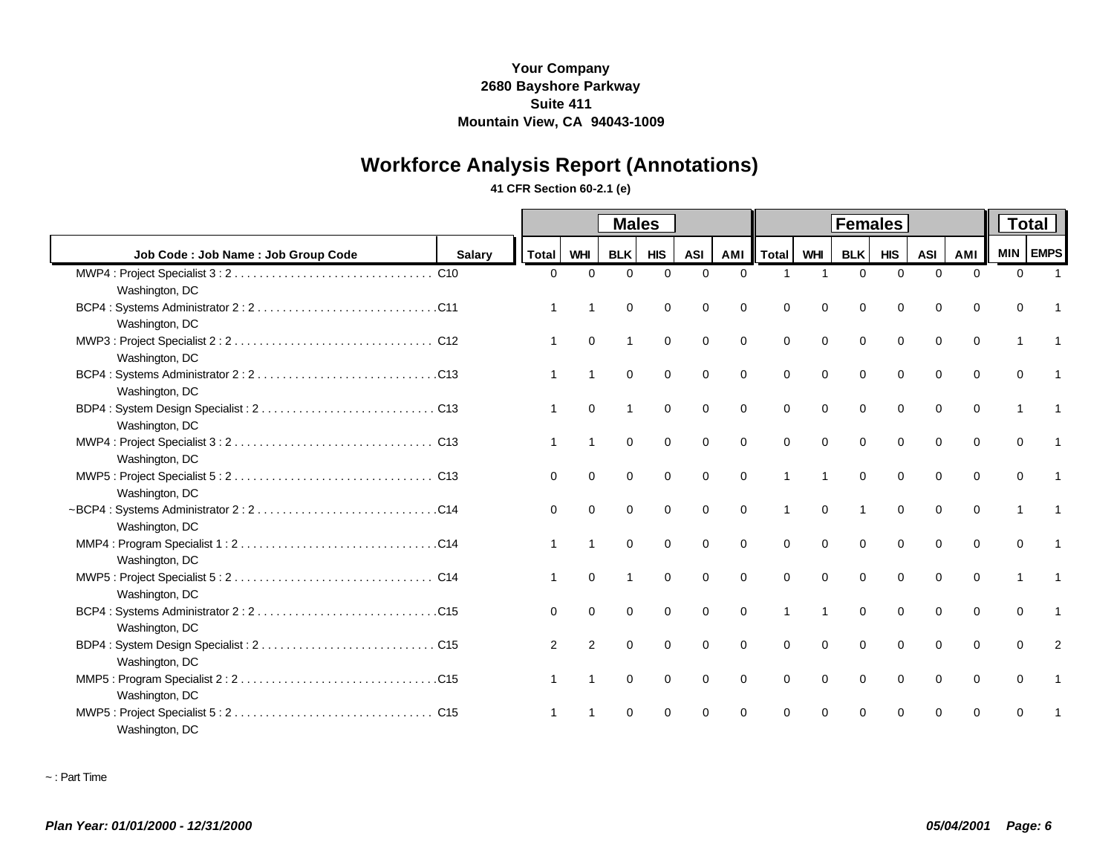# **Workforce Analysis Report (Annotations)**

### **41 CFR Section 60-2.1 (e)**

|                                    |               |              |             | <b>Males</b>   |             |             |             | <b>Females</b> |             |                |             |             |             |                | <b>Total</b> |  |  |
|------------------------------------|---------------|--------------|-------------|----------------|-------------|-------------|-------------|----------------|-------------|----------------|-------------|-------------|-------------|----------------|--------------|--|--|
| Job Code: Job Name: Job Group Code | <b>Salarv</b> | <b>Total</b> | <b>WHI</b>  | <b>BLK</b>     | HIS         | <b>ASI</b>  | AMI         | <b>Total</b>   | WHI         | <b>BLK</b>     | <b>HIS</b>  | <b>ASI</b>  | <b>AMI</b>  | MIN EMPS       |              |  |  |
| Washington, DC                     |               | $\Omega$     | $\Omega$    | $\Omega$       | $\Omega$    | $\Omega$    | $\Omega$    |                |             | $\Omega$       | $\Omega$    | $\Omega$    | $\Omega$    | $\Omega$       |              |  |  |
| Washington, DC                     |               |              |             | $\mathbf 0$    | 0           | 0           | $\mathbf 0$ | 0              | $\Omega$    | 0              | $\mathbf 0$ | 0           | 0           | 0              |              |  |  |
| Washington, DC                     |               |              | $\mathbf 0$ | -1             | $\mathbf 0$ | $\Omega$    | $\Omega$    | $\Omega$       | $\Omega$    | $\mathbf 0$    | $\Omega$    | $\Omega$    | $\Omega$    | $\overline{1}$ |              |  |  |
| Washington, DC                     |               |              |             | $\mathbf 0$    | 0           | $\mathbf 0$ | $\Omega$    | $\Omega$       | $\Omega$    | $\mathbf 0$    | $\mathbf 0$ | $\Omega$    | $\Omega$    | $\Omega$       |              |  |  |
| Washington, DC                     |               |              | $\mathbf 0$ | $\overline{1}$ | $\mathbf 0$ | $\mathbf 0$ | $\mathbf 0$ | $\mathbf 0$    | $\Omega$    | $\mathbf 0$    | $\mathbf 0$ | $\mathbf 0$ | $\mathbf 0$ | 1              |              |  |  |
| Washington, DC                     |               |              | -1          | $\mathbf 0$    | $\mathbf 0$ | $\mathbf 0$ | $\mathbf 0$ | $\Omega$       | $\Omega$    | $\mathbf 0$    | $\mathbf 0$ | 0           | $\mathbf 0$ | $\Omega$       |              |  |  |
| Washington, DC                     |               | $\Omega$     | $\Omega$    | $\mathbf 0$    | $\Omega$    | $\Omega$    | $\Omega$    |                |             | $\Omega$       | $\Omega$    | $\Omega$    | $\Omega$    | $\Omega$       |              |  |  |
| Washington, DC                     |               | $\Omega$     | $\mathbf 0$ | $\mathbf 0$    | $\mathbf 0$ | $\Omega$    | $\mathbf 0$ | 1              | $\Omega$    | $\overline{1}$ | $\Omega$    | $\mathbf 0$ | $\mathbf 0$ | $\overline{1}$ |              |  |  |
| Washington, DC                     |               |              | -1          | $\Omega$       | $\mathbf 0$ | $\Omega$    | $\Omega$    | $\Omega$       | $\Omega$    | $\Omega$       | $\Omega$    | $\Omega$    | $\Omega$    | $\Omega$       |              |  |  |
| Washington, DC                     |               |              | $\mathbf 0$ | -1             | $\mathbf 0$ | $\mathbf 0$ | $\mathbf 0$ | $\mathbf 0$    | $\mathbf 0$ | $\mathbf 0$    | $\mathbf 0$ | $\mathbf 0$ | $\mathbf 0$ | 1              |              |  |  |
| Washington, DC                     |               | $\Omega$     | $\Omega$    | $\Omega$       | $\Omega$    | $\Omega$    | $\Omega$    |                |             | $\Omega$       | $\Omega$    | $\Omega$    | $\Omega$    | $\Omega$       |              |  |  |
| Washington, DC                     |               | 2            | 2           | $\mathbf 0$    | $\mathbf 0$ | $\Omega$    | $\Omega$    | $\Omega$       | $\Omega$    | $\Omega$       | $\Omega$    | $\Omega$    | $\Omega$    | $\Omega$       | 2            |  |  |
| Washington, DC                     |               |              | $\mathbf 1$ | $\mathbf 0$    | $\mathbf 0$ | $\mathbf 0$ | $\Omega$    | $\Omega$       | $\Omega$    | $\Omega$       | $\mathbf 0$ | 0           | $\mathbf 0$ | $\Omega$       |              |  |  |
| Washington, DC                     |               |              |             | $\Omega$       | $\Omega$    | $\Omega$    | $\Omega$    | $\Omega$       | $\Omega$    | $\Omega$       | $\Omega$    | $\Omega$    | $\Omega$    | $\Omega$       |              |  |  |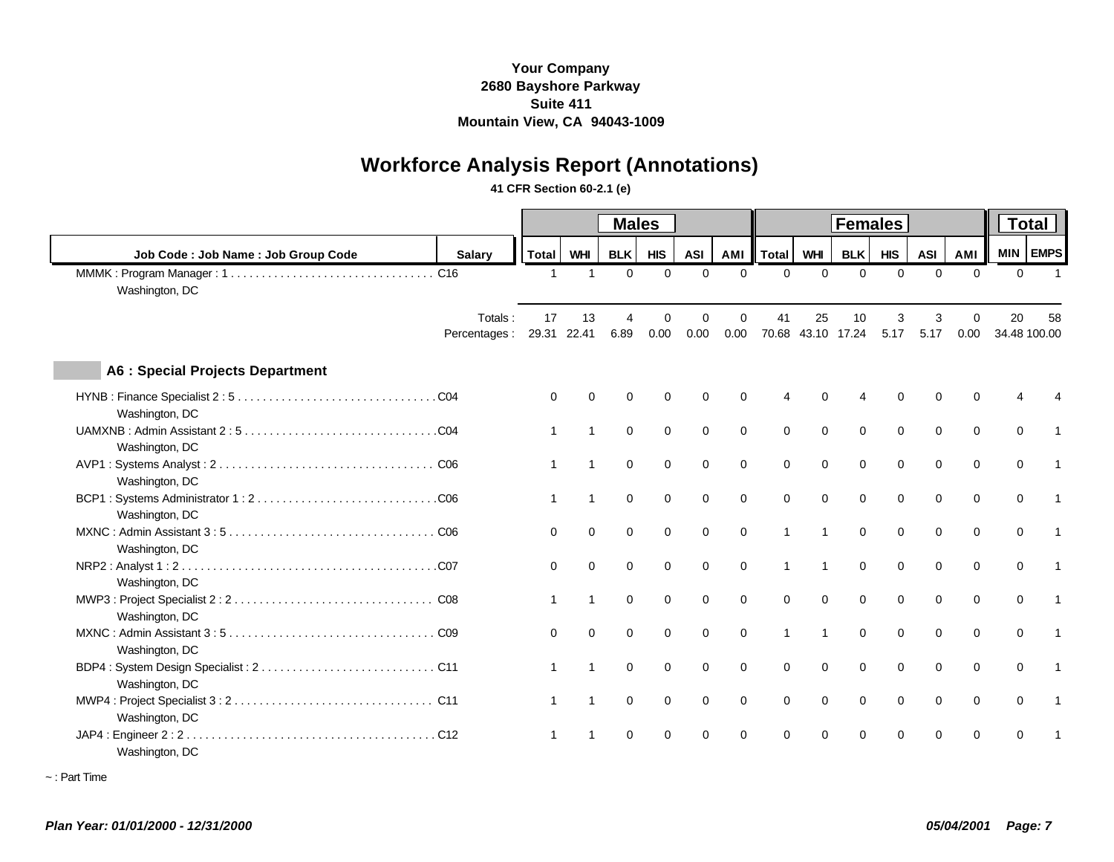# **Workforce Analysis Report (Annotations)**

#### **41 CFR Section 60-2.1 (e)**

|                                         |                         |              |                   |                  |                  |                  |                  |                |             | <b>Total</b>      |             |             |                  |                    |                 |
|-----------------------------------------|-------------------------|--------------|-------------------|------------------|------------------|------------------|------------------|----------------|-------------|-------------------|-------------|-------------|------------------|--------------------|-----------------|
|                                         |                         | <b>Males</b> |                   |                  |                  |                  |                  |                |             | <b>Females</b>    |             |             |                  |                    |                 |
| Job Code: Job Name: Job Group Code      | <b>Salarv</b>           | <b>Total</b> | <b>WHI</b>        | <b>BLK</b>       | <b>HIS</b>       | <b>ASI</b>       | AMI              | <b>Total</b>   | <b>WHI</b>  | <b>BLK</b>        | <b>HIS</b>  | <b>ASI</b>  | AMI              |                    | <b>MIN EMPS</b> |
| Washington, DC                          |                         | 1            |                   | $\Omega$         | $\Omega$         | $\Omega$         | $\Omega$         | $\Omega$       | $\Omega$    | $\Omega$          | $\Omega$    | $\Omega$    | $\Omega$         | $\Omega$           |                 |
|                                         | Totals:<br>Percentages: | 17           | 13<br>29.31 22.41 | $\Delta$<br>6.89 | $\Omega$<br>0.00 | $\Omega$<br>0.00 | $\Omega$<br>0.00 | 41<br>70.68    | 25          | 10<br>43.10 17.24 | 3<br>5.17   | 3<br>5.17   | $\Omega$<br>0.00 | 20<br>34.48 100.00 | 58              |
| <b>A6 : Special Projects Department</b> |                         |              |                   |                  |                  |                  |                  |                |             |                   |             |             |                  |                    |                 |
| Washington, DC                          |                         | $\Omega$     | $\Omega$          | $\Omega$         | 0                | 0                | $\Omega$         |                |             |                   | $\Omega$    | $\Omega$    | 0                |                    |                 |
| Washington, DC                          |                         |              |                   | $\mathbf 0$      | $\mathbf 0$      | $\mathbf 0$      | $\mathbf 0$      | $\mathbf 0$    | $\mathbf 0$ | $\Omega$          | $\mathbf 0$ | $\mathbf 0$ | $\mathbf 0$      | $\mathbf 0$        |                 |
| Washington, DC                          |                         |              |                   | $\mathbf 0$      | $\mathbf 0$      | $\Omega$         | $\Omega$         | $\Omega$       | $\Omega$    | $\Omega$          | $\mathbf 0$ | $\Omega$    | $\mathbf 0$      | $\Omega$           |                 |
| Washington, DC                          |                         |              |                   | $\mathbf 0$      | $\mathbf 0$      | $\mathbf 0$      | $\mathbf 0$      | $\mathbf 0$    | $\Omega$    | $\Omega$          | $\mathbf 0$ | $\Omega$    | $\mathbf 0$      | $\Omega$           |                 |
| Washington, DC                          |                         | 0            | $\mathbf 0$       | 0                | $\mathbf 0$      | $\mathbf 0$      | 0                | $\overline{1}$ | 1           | $\mathbf 0$       | $\mathbf 0$ | $\mathbf 0$ | $\mathbf 0$      | $\mathbf 0$        |                 |
| Washington, DC                          |                         | $\Omega$     | $\mathbf 0$       | $\mathbf 0$      | $\mathbf 0$      | $\mathbf 0$      | $\mathbf 0$      | $\mathbf{1}$   | 1           | $\Omega$          | $\mathbf 0$ | $\mathbf 0$ | $\mathbf 0$      | $\mathbf 0$        |                 |
| Washington, DC                          |                         |              |                   | $\Omega$         | $\mathbf 0$      | $\mathbf 0$      | $\mathbf 0$      | $\Omega$       | $\Omega$    | $\Omega$          | $\Omega$    | $\Omega$    | $\mathbf 0$      | $\Omega$           |                 |
| Washington, DC                          |                         | $\Omega$     | $\Omega$          | $\mathbf 0$      | $\mathbf 0$      | 0                | $\mathbf 0$      | $\overline{1}$ |             | $\Omega$          | $\mathbf 0$ | $\mathbf 0$ | $\mathbf 0$      | $\mathbf 0$        |                 |
| Washington, DC                          |                         |              |                   | $\mathbf 0$      | $\mathbf 0$      | $\mathbf 0$      | $\mathbf 0$      | $\mathbf 0$    | $\mathbf 0$ | $\Omega$          | $\mathbf 0$ | $\mathbf 0$ | $\mathbf 0$      | $\mathbf 0$        |                 |
| Washington, DC                          |                         |              |                   | $\Omega$         | $\mathbf 0$      | 0                | $\mathbf 0$      | $\Omega$       | $\Omega$    | $\Omega$          | $\Omega$    | $\Omega$    | $\mathbf 0$      | $\mathbf 0$        |                 |
| Washington, DC                          |                         |              |                   | $\Omega$         | $\Omega$         | $\Omega$         | $\Omega$         | $\Omega$       | $\Omega$    | $\Omega$          | $\Omega$    | $\Omega$    | $\Omega$         | $\Omega$           |                 |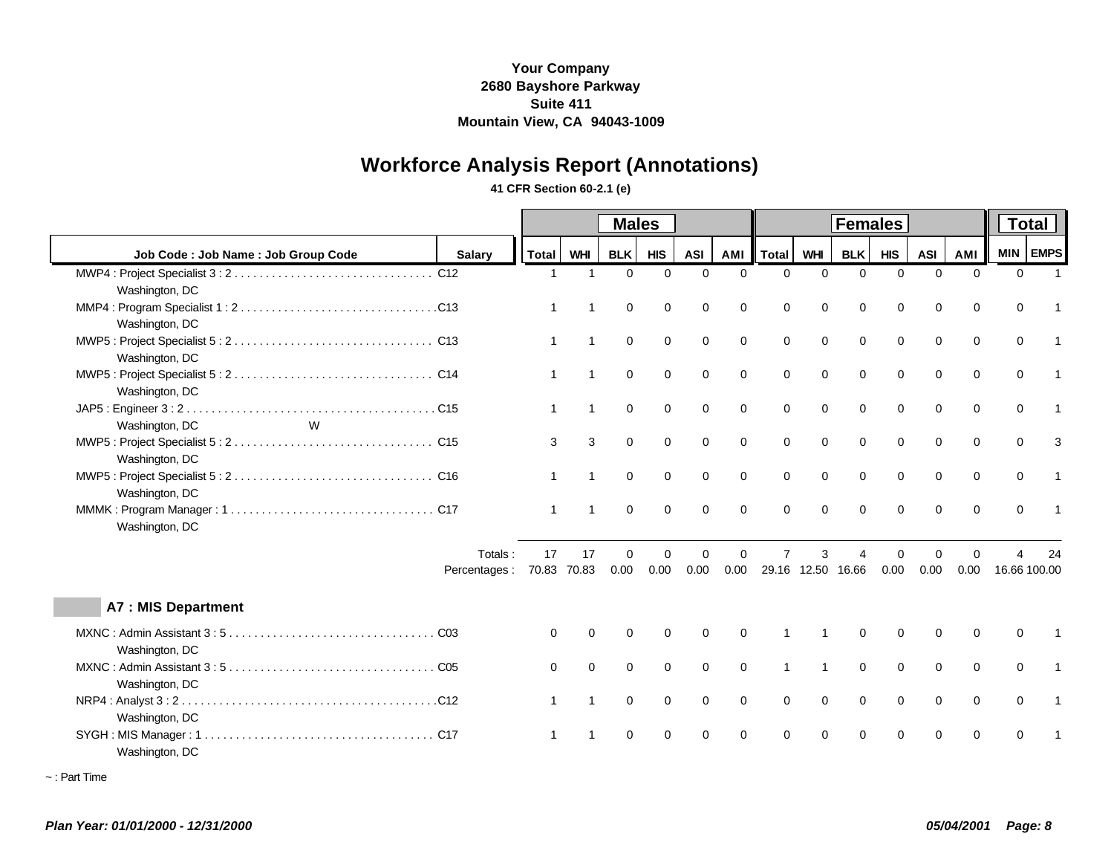# **Workforce Analysis Report (Annotations)**

### **41 CFR Section 60-2.1 (e)**

|                                              |               |              |                | <b>Males</b> |             |             |             | Females      |              |             |             |             |             | <b>Total</b>    |    |  |
|----------------------------------------------|---------------|--------------|----------------|--------------|-------------|-------------|-------------|--------------|--------------|-------------|-------------|-------------|-------------|-----------------|----|--|
| Job Code: Job Name: Job Group Code           | <b>Salarv</b> | <b>Total</b> | <b>WHI</b>     | <b>BLK</b>   | <b>HIS</b>  | <b>ASI</b>  | AMI         | <b>Total</b> | <b>WHI</b>   | <b>BLK</b>  | <b>HIS</b>  | <b>ASI</b>  | AMI         | <b>MIN EMPS</b> |    |  |
|                                              |               |              | -1             | $\Omega$     | $\Omega$    | $\Omega$    | $\Omega$    | $\Omega$     | $\Omega$     | $\Omega$    | $\Omega$    | $\Omega$    | $\Omega$    | $\Omega$        |    |  |
| Washington, DC                               |               |              |                |              |             |             |             |              |              |             |             |             |             |                 |    |  |
| Washington, DC                               |               |              |                | 0            | $\mathbf 0$ | $\mathbf 0$ | 0           | $\mathbf 0$  | 0            | 0           | $\mathbf 0$ | $\Omega$    | $\mathbf 0$ | $\Omega$        |    |  |
| Washington, DC                               |               |              | $\overline{1}$ | $\mathbf 0$  | $\mathbf 0$ | $\mathbf 0$ | 0           | $\mathbf 0$  | $\mathbf 0$  | $\mathbf 0$ | $\mathbf 0$ | $\mathbf 0$ | $\mathbf 0$ | 0               |    |  |
| Washington, DC                               |               |              | $\overline{1}$ | $\mathbf 0$  | $\mathbf 0$ | $\pmb{0}$   | $\mathbf 0$ | $\mathbf 0$  | $\mathbf 0$  | $\mathbf 0$ | $\mathbf 0$ | $\mathbf 0$ | $\mathbf 0$ | $\mathbf 0$     |    |  |
| JAP5 : Engineer 3 : 2<br>W<br>Washington, DC |               |              | -1             | 0            | $\mathbf 0$ | $\mathbf 0$ | $\mathbf 0$ | $\mathbf 0$  | 0            | $\mathbf 0$ | $\mathbf 0$ | $\Omega$    | $\mathbf 0$ | $\Omega$        |    |  |
| Washington, DC                               |               | 3            | 3              | 0            | $\mathbf 0$ | $\pmb{0}$   | $\mathbf 0$ | $\mathbf 0$  | $\Omega$     | 0           | $\mathbf 0$ | $\mathbf 0$ | $\mathbf 0$ | $\Omega$        | Э  |  |
| Washington, DC                               |               |              | $\overline{1}$ | $\mathbf 0$  | $\mathbf 0$ | $\mathbf 0$ | $\mathbf 0$ | $\mathbf 0$  | $\mathbf 0$  | $\mathbf 0$ | $\mathbf 0$ | $\mathbf 0$ | $\mathbf 0$ | $\mathbf 0$     |    |  |
| Washington, DC                               |               |              | -1             | $\Omega$     | $\Omega$    | $\Omega$    | $\Omega$    | $\Omega$     | $\Omega$     | $\Omega$    | $\Omega$    | $\Omega$    | $\Omega$    | $\Omega$        |    |  |
|                                              | Totals:       | 17           | 17             | $\Omega$     | $\Omega$    | $\Omega$    | 0           | 7            | 3            | $\lambda$   | $\Omega$    | $\Omega$    | $\Omega$    |                 | 24 |  |
|                                              | Percentages : | 70.83 70.83  |                | 0.00         | 0.00        | 0.00        | 0.00        | 29.16        | 12.50 16.66  |             | 0.00        | 0.00        | 0.00        | 16.66 100.00    |    |  |
| <b>A7: MIS Department</b>                    |               |              |                |              |             |             |             |              |              |             |             |             |             |                 |    |  |
| Washington, DC                               |               | $\Omega$     | $\Omega$       | $\Omega$     | $\Omega$    | $\Omega$    | $\Omega$    |              |              | $\Omega$    | $\Omega$    | $\Omega$    | $\Omega$    | $\Omega$        |    |  |
| Washington, DC                               |               | $\Omega$     | $\mathbf 0$    | $\mathbf 0$  | $\mathbf 0$ | $\mathbf 0$ | $\mathbf 0$ | $\mathbf{1}$ | $\mathbf{1}$ | $\mathbf 0$ | $\mathbf 0$ | $\mathbf 0$ | $\mathbf 0$ | $\Omega$        |    |  |
| NRP4: Analyst 3:2<br>Washington, DC          |               |              | -1             | 0            | $\mathbf 0$ | $\mathbf 0$ | $\mathbf 0$ | $\mathbf 0$  | $\mathbf 0$  | 0           | $\mathbf 0$ | $\mathbf 0$ | $\mathbf 0$ | $\mathbf 0$     |    |  |
| Washington, DC                               |               |              |                | $\Omega$     | $\Omega$    | $\Omega$    | $\Omega$    | $\mathbf 0$  | 0            | $\Omega$    | $\Omega$    | $\Omega$    | $\mathbf 0$ | $\Omega$        |    |  |